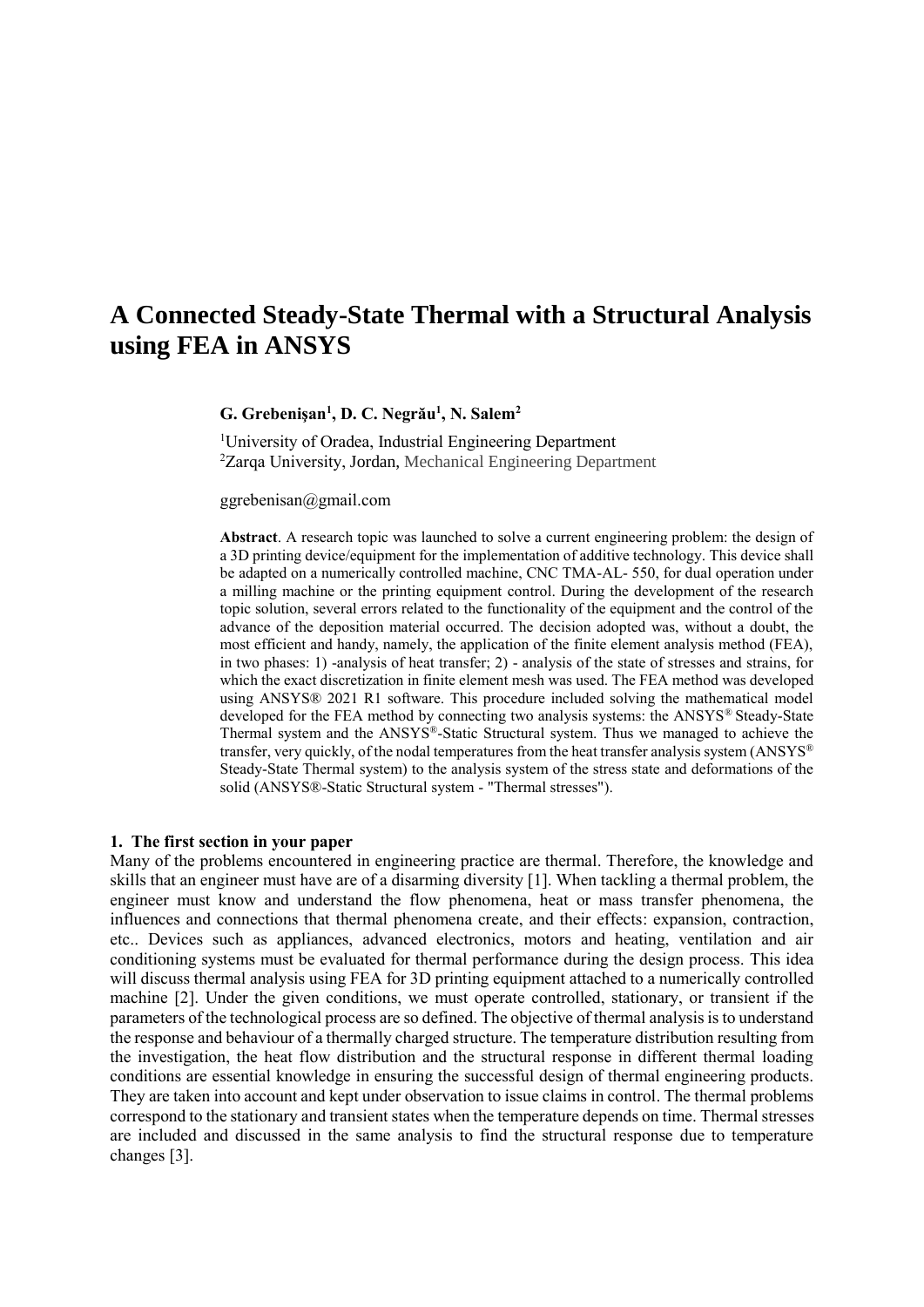# **A Connected Steady-State Thermal with a Structural Analysis using FEA in ANSYS**

**G. Grebenişan<sup>1</sup> , D. C. Negrău<sup>1</sup> , N. Salem<sup>2</sup>**

<sup>1</sup>University of Oradea, Industrial Engineering Department <sup>2</sup>Zarqa University, Jordan, Mechanical Engineering Department

ggrebenisan@gmail.com

**Abstract**. A research topic was launched to solve a current engineering problem: the design of a 3D printing device/equipment for the implementation of additive technology. This device shall be adapted on a numerically controlled machine, CNC TMA-AL- 550, for dual operation under a milling machine or the printing equipment control. During the development of the research topic solution, several errors related to the functionality of the equipment and the control of the advance of the deposition material occurred. The decision adopted was, without a doubt, the most efficient and handy, namely, the application of the finite element analysis method (FEA), in two phases: 1) -analysis of heat transfer; 2) - analysis of the state of stresses and strains, for which the exact discretization in finite element mesh was used. The FEA method was developed using ANSYS® 2021 R1 software. This procedure included solving the mathematical model developed for the FEA method by connecting two analysis systems: the ANSYS® Steady-State Thermal system and the ANSYS®-Static Structural system. Thus we managed to achieve the transfer, very quickly, of the nodal temperatures from the heat transfer analysis system (ANSYS® Steady-State Thermal system) to the analysis system of the stress state and deformations of the solid (ANSYS®-Static Structural system - "Thermal stresses").

### **1. The first section in your paper**

Many of the problems encountered in engineering practice are thermal. Therefore, the knowledge and skills that an engineer must have are of a disarming diversity [1]. When tackling a thermal problem, the engineer must know and understand the flow phenomena, heat or mass transfer phenomena, the influences and connections that thermal phenomena create, and their effects: expansion, contraction, etc.. Devices such as appliances, advanced electronics, motors and heating, ventilation and air conditioning systems must be evaluated for thermal performance during the design process. This idea will discuss thermal analysis using FEA for 3D printing equipment attached to a numerically controlled machine [2]. Under the given conditions, we must operate controlled, stationary, or transient if the parameters of the technological process are so defined. The objective of thermal analysis is to understand the response and behaviour of a thermally charged structure. The temperature distribution resulting from the investigation, the heat flow distribution and the structural response in different thermal loading conditions are essential knowledge in ensuring the successful design of thermal engineering products. They are taken into account and kept under observation to issue claims in control. The thermal problems correspond to the stationary and transient states when the temperature depends on time. Thermal stresses are included and discussed in the same analysis to find the structural response due to temperature changes [3].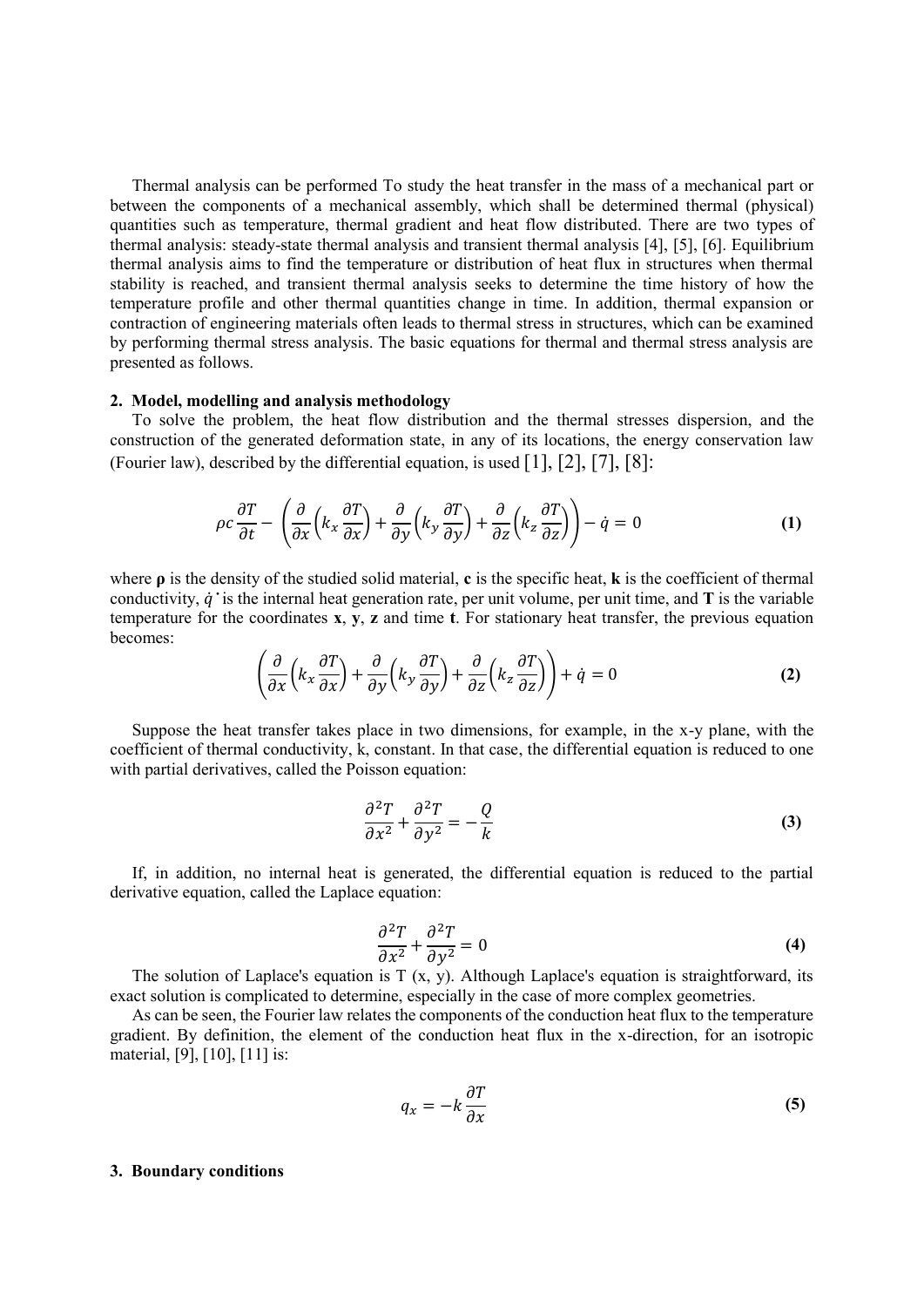Thermal analysis can be performed To study the heat transfer in the mass of a mechanical part or between the components of a mechanical assembly, which shall be determined thermal (physical) quantities such as temperature, thermal gradient and heat flow distributed. There are two types of thermal analysis: steady-state thermal analysis and transient thermal analysis [4], [5], [6]. Equilibrium thermal analysis aims to find the temperature or distribution of heat flux in structures when thermal stability is reached, and transient thermal analysis seeks to determine the time history of how the temperature profile and other thermal quantities change in time. In addition, thermal expansion or contraction of engineering materials often leads to thermal stress in structures, which can be examined by performing thermal stress analysis. The basic equations for thermal and thermal stress analysis are presented as follows.

#### **2. Model, modelling and analysis methodology**

To solve the problem, the heat flow distribution and the thermal stresses dispersion, and the construction of the generated deformation state, in any of its locations, the energy conservation law (Fourier law), described by the differential equation, is used  $[1]$ ,  $[2]$ ,  $[7]$ ,  $[8]$ :

$$
\rho c \frac{\partial T}{\partial t} - \left( \frac{\partial}{\partial x} \left( k_x \frac{\partial T}{\partial x} \right) + \frac{\partial}{\partial y} \left( k_y \frac{\partial T}{\partial y} \right) + \frac{\partial}{\partial z} \left( k_z \frac{\partial T}{\partial z} \right) \right) - \dot{q} = 0 \tag{1}
$$

where **ρ** is the density of the studied solid material, **c** is the specific heat, **k** is the coefficient of thermal conductivity,  $\dot{q}$  is the internal heat generation rate, per unit volume, per unit time, and  $T$  is the variable temperature for the coordinates **x**, **y**, **z** and time **t**. For stationary heat transfer, the previous equation becomes:

$$
\left(\frac{\partial}{\partial x}\left(k_x \frac{\partial T}{\partial x}\right) + \frac{\partial}{\partial y}\left(k_y \frac{\partial T}{\partial y}\right) + \frac{\partial}{\partial z}\left(k_z \frac{\partial T}{\partial z}\right)\right) + \dot{q} = 0\tag{2}
$$

Suppose the heat transfer takes place in two dimensions, for example, in the x-y plane, with the coefficient of thermal conductivity, k, constant. In that case, the differential equation is reduced to one with partial derivatives, called the Poisson equation:

$$
\frac{\partial^2 T}{\partial x^2} + \frac{\partial^2 T}{\partial y^2} = -\frac{Q}{k}
$$
 (3)

If, in addition, no internal heat is generated, the differential equation is reduced to the partial derivative equation, called the Laplace equation:

$$
\frac{\partial^2 T}{\partial x^2} + \frac{\partial^2 T}{\partial y^2} = 0
$$
 (4)

The solution of Laplace's equation is  $T(x, y)$ . Although Laplace's equation is straightforward, its exact solution is complicated to determine, especially in the case of more complex geometries.

As can be seen, the Fourier law relates the components of the conduction heat flux to the temperature gradient. By definition, the element of the conduction heat flux in the x-direction, for an isotropic material, [9], [10], [11] is:

$$
q_x = -k \frac{\partial T}{\partial x} \tag{5}
$$

#### **3. Boundary conditions**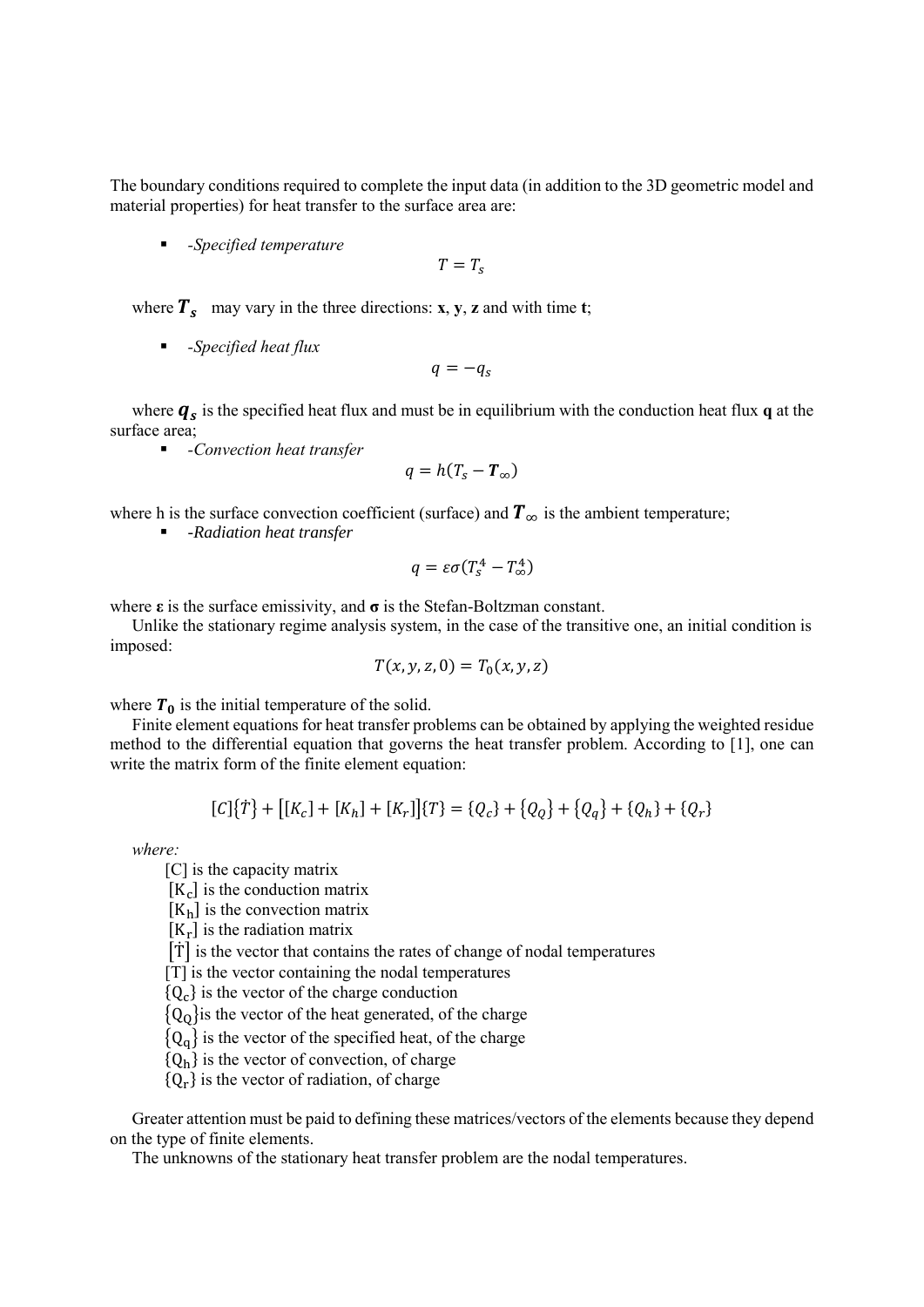The boundary conditions required to complete the input data (in addition to the 3D geometric model and material properties) for heat transfer to the surface area are:

*-Specified temperature*

 $T=T_{\rm s}$ 

where  $T_s$  may vary in the three directions: **x**, **y**, **z** and with time **t**;

*-Specified heat flux*

$$
q=-q_s
$$

where  $q_s$  is the specified heat flux and must be in equilibrium with the conduction heat flux  $q$  at the surface area;

*-Convection heat transfer*

$$
q=h(T_s-T_\infty)
$$

where h is the surface convection coefficient (surface) and  $T_{\infty}$  is the ambient temperature;

*-Radiation heat transfer*

$$
q=\varepsilon\sigma(T_s^4-T_\infty^4)
$$

where **ε** is the surface emissivity, and **σ** is the Stefan-Boltzman constant.

Unlike the stationary regime analysis system, in the case of the transitive one, an initial condition is imposed:

$$
T(x, y, z, 0) = T_0(x, y, z)
$$

where  $T_0$  is the initial temperature of the solid.

Finite element equations for heat transfer problems can be obtained by applying the weighted residue method to the differential equation that governs the heat transfer problem. According to [1], one can write the matrix form of the finite element equation:

$$
[C]{\hat{T}} + [K_c] + [K_h] + [K_r]]{T} = {Q_c} + {Q_q} + {Q_q} + {Q_h} + {Q_r}
$$

*where:*

[C] is the capacity matrix

 $[K_c]$  is the conduction matrix

 $[K_h]$  is the convection matrix

 $[K_r]$  is the radiation matrix

 $[\dot{T}]$  is the vector that contains the rates of change of nodal temperatures

[T] is the vector containing the nodal temperatures

 ${Q_c}$  is the vector of the charge conduction

 ${Q<sub>O</sub>}$  is the vector of the heat generated, of the charge

 ${Q_q}$  is the vector of the specified heat, of the charge

 ${Q_h}$  is the vector of convection, of charge

 ${Q_r}$  is the vector of radiation, of charge

Greater attention must be paid to defining these matrices/vectors of the elements because they depend on the type of finite elements.

The unknowns of the stationary heat transfer problem are the nodal temperatures.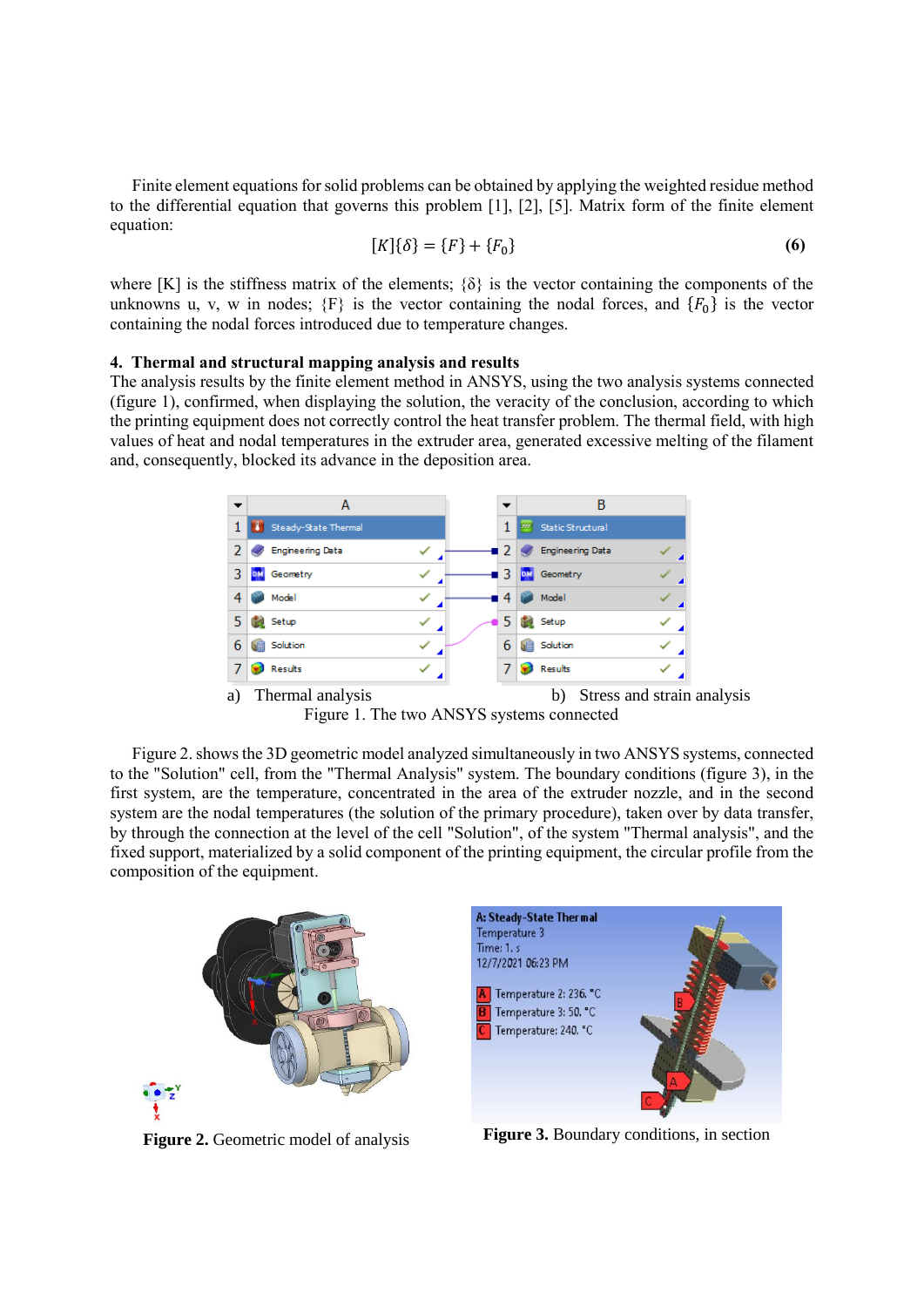Finite element equations for solid problems can be obtained by applying the weighted residue method to the differential equation that governs this problem [1], [2], [5]. Matrix form of the finite element equation:

$$
[K]\{\delta\} = \{F\} + \{F_0\} \tag{6}
$$

where [K] is the stiffness matrix of the elements;  $\{\delta\}$  is the vector containing the components of the unknowns u, v, w in nodes;  $\{F\}$  is the vector containing the nodal forces, and  $\{F_0\}$  is the vector containing the nodal forces introduced due to temperature changes.

# **4. Thermal and structural mapping analysis and results**

The analysis results by the finite element method in ANSYS, using the two analysis systems connected (figure 1), confirmed, when displaying the solution, the veracity of the conclusion, according to which the printing equipment does not correctly control the heat transfer problem. The thermal field, with high values of heat and nodal temperatures in the extruder area, generated excessive melting of the filament and, consequently, blocked its advance in the deposition area.



Figure 1. The two ANSYS systems connected

Figure 2. shows the 3D geometric model analyzed simultaneously in two ANSYS systems, connected to the "Solution" cell, from the "Thermal Analysis" system. The boundary conditions (figure 3), in the first system, are the temperature, concentrated in the area of the extruder nozzle, and in the second system are the nodal temperatures (the solution of the primary procedure), taken over by data transfer, by through the connection at the level of the cell "Solution", of the system "Thermal analysis", and the fixed support, materialized by a solid component of the printing equipment, the circular profile from the composition of the equipment.





**Figure 2.** Geometric model of analysis **Figure 3.** Boundary conditions, in section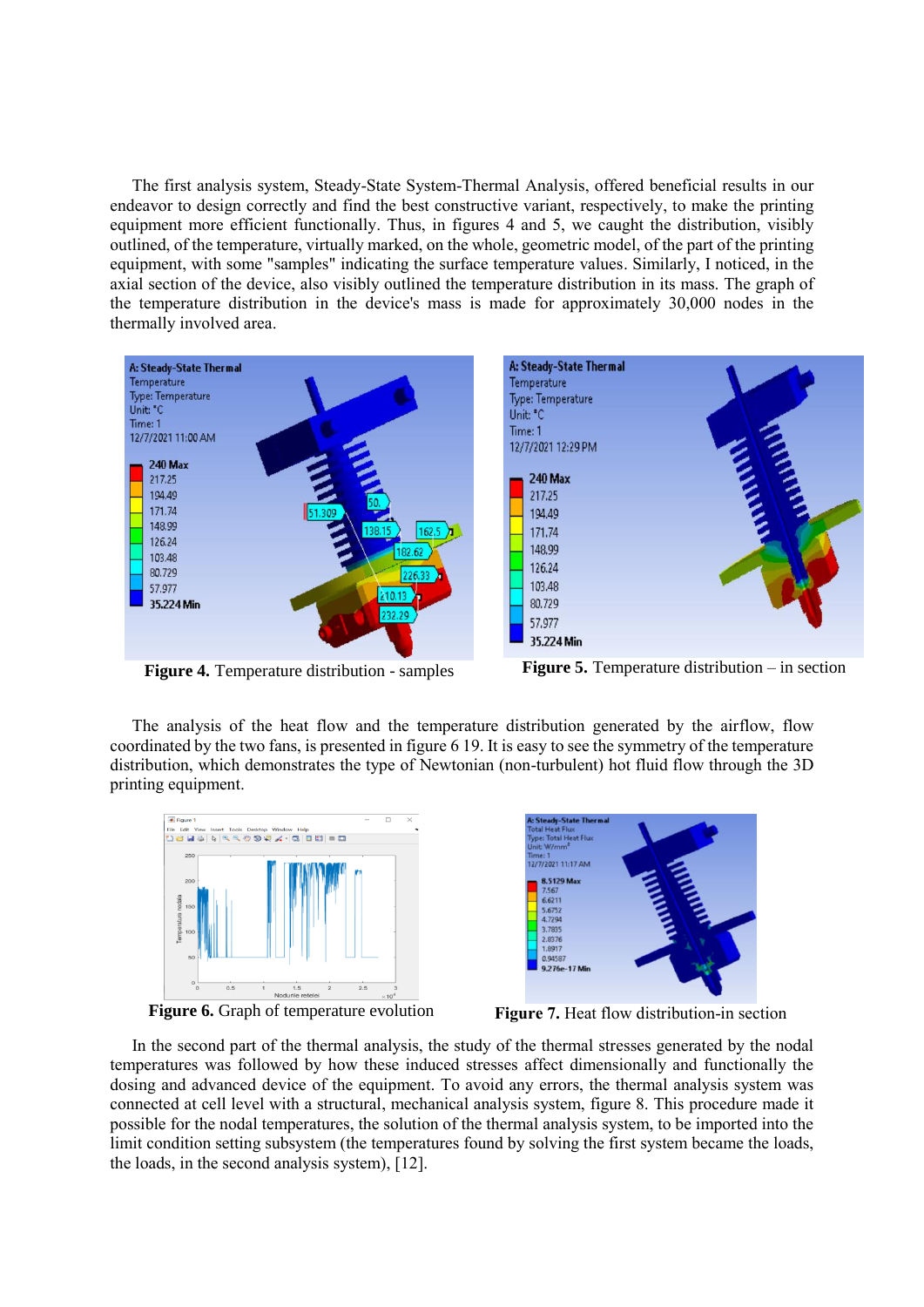The first analysis system, Steady-State System-Thermal Analysis, offered beneficial results in our endeavor to design correctly and find the best constructive variant, respectively, to make the printing equipment more efficient functionally. Thus, in figures 4 and 5, we caught the distribution, visibly outlined, of the temperature, virtually marked, on the whole, geometric model, of the part of the printing equipment, with some "samples" indicating the surface temperature values. Similarly, I noticed, in the axial section of the device, also visibly outlined the temperature distribution in its mass. The graph of the temperature distribution in the device's mass is made for approximately 30,000 nodes in the thermally involved area.



**Figure 4.** Temperature distribution - samples **Figure 5.** Temperature distribution – in section

The analysis of the heat flow and the temperature distribution generated by the airflow, flow coordinated by the two fans, is presented in figure 6 19. It is easy to see the symmetry of the temperature distribution, which demonstrates the type of Newtonian (non-turbulent) hot fluid flow through the 3D printing equipment.



**Figure 6.** Graph of temperature evolution **Figure 7.** Heat flow distribution-in section



In the second part of the thermal analysis, the study of the thermal stresses generated by the nodal temperatures was followed by how these induced stresses affect dimensionally and functionally the dosing and advanced device of the equipment. To avoid any errors, the thermal analysis system was connected at cell level with a structural, mechanical analysis system, figure 8. This procedure made it possible for the nodal temperatures, the solution of the thermal analysis system, to be imported into the limit condition setting subsystem (the temperatures found by solving the first system became the loads, the loads, in the second analysis system), [12].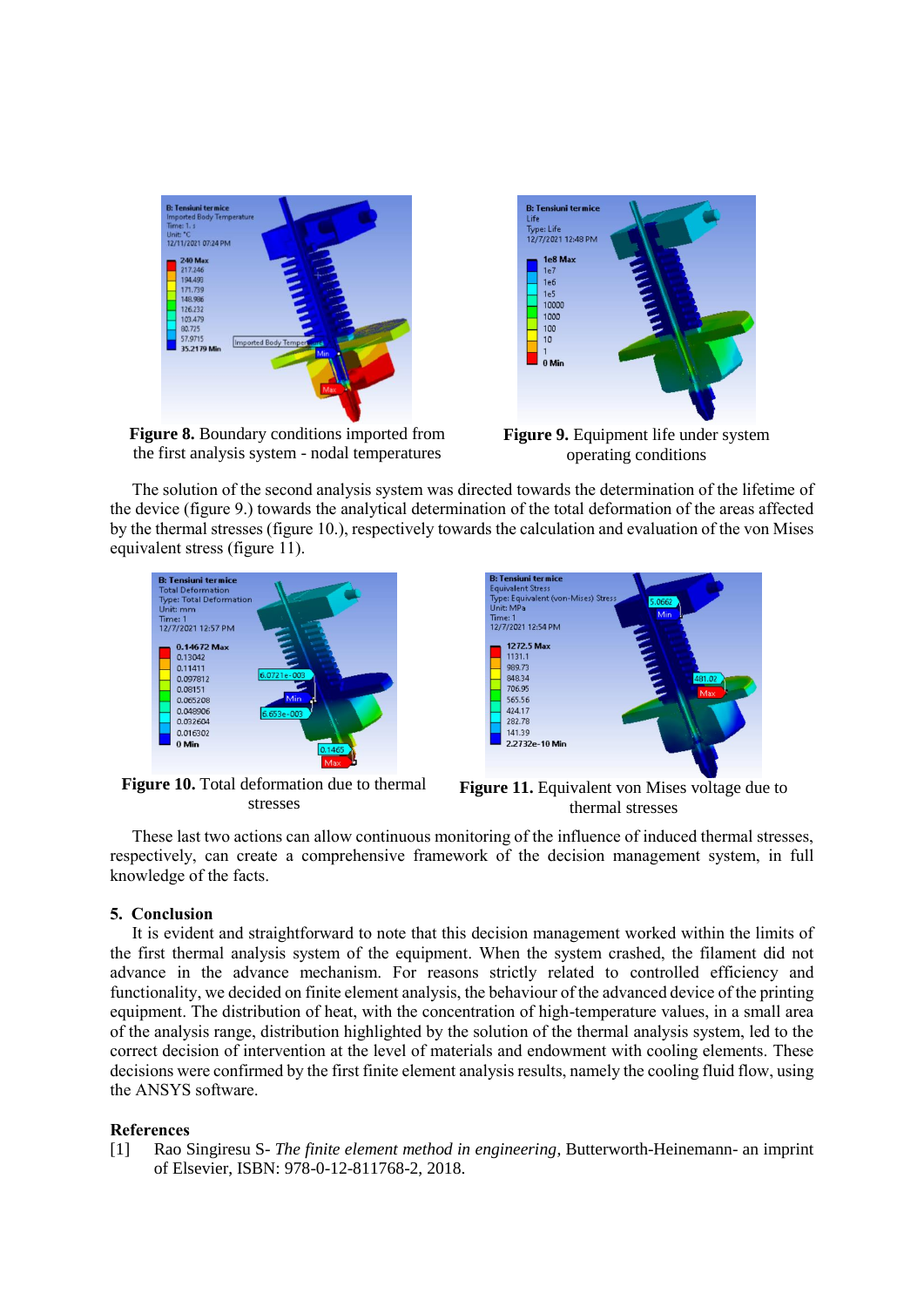

**Figure 8.** Boundary conditions imported from the first analysis system - nodal temperatures



**Figure 9.** Equipment life under system operating conditions

The solution of the second analysis system was directed towards the determination of the lifetime of the device (figure 9.) towards the analytical determination of the total deformation of the areas affected by the thermal stresses (figure 10.), respectively towards the calculation and evaluation of the von Mises equivalent stress (figure 11).



**Figure 10.** Total deformation due to thermal stresses



**Figure 11.** Equivalent von Mises voltage due to thermal stresses

These last two actions can allow continuous monitoring of the influence of induced thermal stresses, respectively, can create a comprehensive framework of the decision management system, in full knowledge of the facts.

## **5. Conclusion**

It is evident and straightforward to note that this decision management worked within the limits of the first thermal analysis system of the equipment. When the system crashed, the filament did not advance in the advance mechanism. For reasons strictly related to controlled efficiency and functionality, we decided on finite element analysis, the behaviour of the advanced device of the printing equipment. The distribution of heat, with the concentration of high-temperature values, in a small area of the analysis range, distribution highlighted by the solution of the thermal analysis system, led to the correct decision of intervention at the level of materials and endowment with cooling elements. These decisions were confirmed by the first finite element analysis results, namely the cooling fluid flow, using the ANSYS software.

#### **References**

[1] Rao Singiresu S- *The finite element method in engineering*, Butterworth-Heinemann- an imprint of Elsevier, ISBN: 978-0-12-811768-2, 2018.